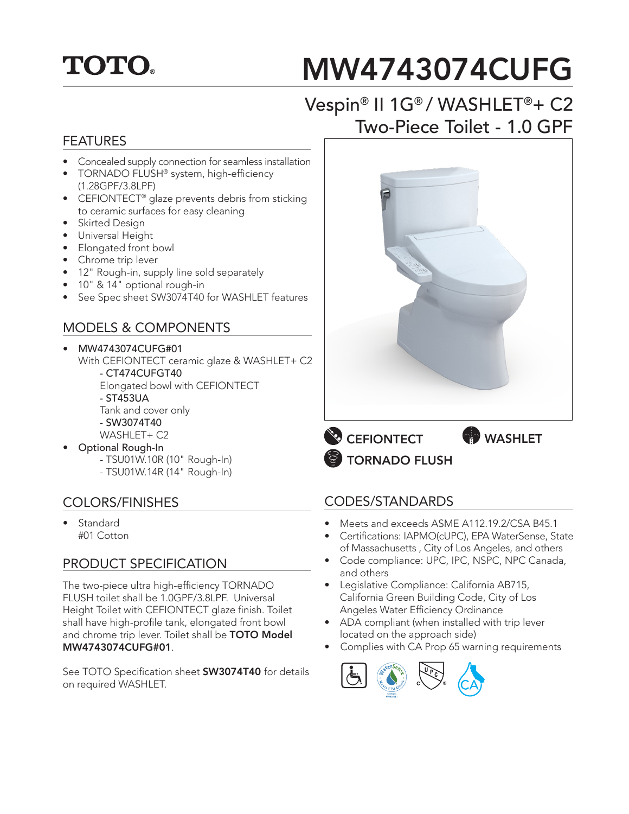# **TOTO.**

# MW4743074CUFG

## Vespin® II 1G® / WASHLET®+ C2 Two-Piece Toilet - 1.0 GPF

#### FEATURES

- Concealed supply connection for seamless installation
- TORNADO FLUSH® system, high-efficiency (1.28GPF/3.8LPF)
- CEFIONTECT<sup>®</sup> glaze prevents debris from sticking to ceramic surfaces for easy cleaning
- Skirted Design
- Universal Height
- Elongated front bowl
- Chrome trip lever
- 12" Rough-in, supply line sold separately
- 10" & 14" optional rough-in
- See Spec sheet SW3074T40 for WASHLET features

#### MODELS & COMPONENTS

• MW4743074CUFG#01 With CEFIONTECT ceramic glaze & WASHLET+ C2 - CT474CUFGT40 Elongated bowl with CEFIONTECT - ST453UA Tank and cover only - SW3074T40

- WASHLET+ C2
- Optional Rough-In - TSU01W.10R (10" Rough-In)
	- TSU01W.14R (14" Rough-In)

#### COLORS/FINISHES

**Standard** #01 Cotton

#### PRODUCT SPECIFICATION

The two-piece ultra high-efficiency TORNADO FLUSH toilet shall be 1.0GPF/3.8LPF. Universal Height Toilet with CEFIONTECT glaze finish. Toilet shall have high-profile tank, elongated front bowl and chrome trip lever. Toilet shall be TOTO Model MW4743074CUFG#01.

See TOTO Specification sheet **SW3074T40** for details on required WASHLET.



**EFIONTECT** TORNADO FLUSH

#### CODES/STANDARDS

- Meets and exceeds ASME A112.19.2/CSA B45.1
- Certifications: IAPMO(cUPC), EPA WaterSense, State of Massachusetts , City of Los Angeles, and others
- Code compliance: UPC, IPC, NSPC, NPC Canada, and others
- Legislative Compliance: California AB715, California Green Building Code, City of Los Angeles Water Efficiency Ordinance
- ADA compliant (when installed with trip lever located on the approach side)
- Complies with CA Prop 65 warning requirements